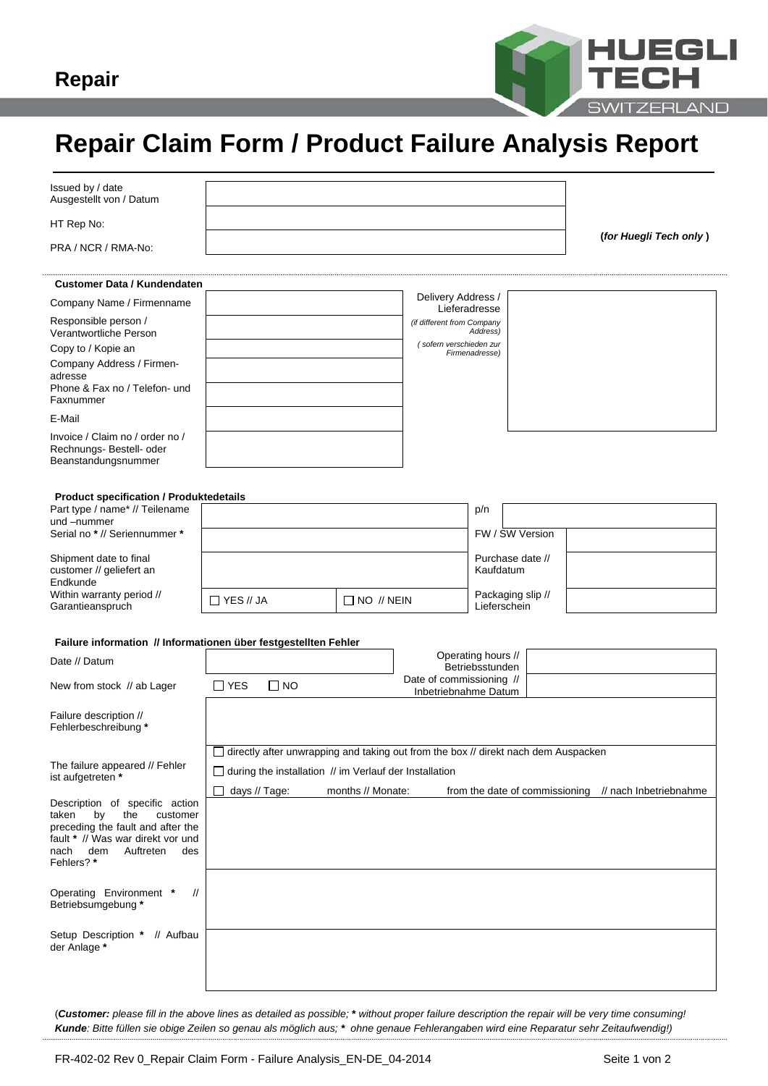

## **Repair Claim Form / Product Failure Analysis Report**

| Issued by / date<br>Ausgestellt von / Datum                                                                            |                         |                                                               |                     |                                                                                             |                                       |                   |                                                       |  |
|------------------------------------------------------------------------------------------------------------------------|-------------------------|---------------------------------------------------------------|---------------------|---------------------------------------------------------------------------------------------|---------------------------------------|-------------------|-------------------------------------------------------|--|
| HT Rep No:                                                                                                             |                         |                                                               |                     |                                                                                             |                                       |                   |                                                       |  |
| PRA / NCR / RMA-No:                                                                                                    |                         |                                                               |                     |                                                                                             |                                       |                   | (for Huegli Tech only)                                |  |
| <b>Customer Data / Kundendaten</b>                                                                                     |                         |                                                               |                     |                                                                                             |                                       |                   |                                                       |  |
|                                                                                                                        |                         |                                                               |                     | Delivery Address /                                                                          |                                       |                   |                                                       |  |
| Company Name / Firmenname                                                                                              |                         |                                                               |                     |                                                                                             | Lieferadresse                         |                   |                                                       |  |
| Responsible person /<br>Verantwortliche Person                                                                         |                         |                                                               |                     | (if different from Company<br>(sofern verschieden zur                                       | Address)                              |                   |                                                       |  |
| Copy to / Kopie an                                                                                                     |                         |                                                               |                     |                                                                                             | Firmenadresse)                        |                   |                                                       |  |
| Company Address / Firmen-<br>adresse<br>Phone & Fax no / Telefon- und<br>Faxnummer                                     |                         |                                                               |                     |                                                                                             |                                       |                   |                                                       |  |
| E-Mail                                                                                                                 |                         |                                                               |                     |                                                                                             |                                       |                   |                                                       |  |
| Invoice / Claim no / order no /<br>Rechnungs- Bestell- oder<br>Beanstandungsnummer                                     |                         |                                                               |                     |                                                                                             |                                       |                   |                                                       |  |
|                                                                                                                        |                         |                                                               |                     |                                                                                             |                                       |                   |                                                       |  |
| <b>Product specification / Produktedetails</b><br>Part type / name* // Teilename                                       |                         |                                                               |                     |                                                                                             | p/n                                   |                   |                                                       |  |
| und -nummer                                                                                                            |                         |                                                               |                     |                                                                                             |                                       |                   |                                                       |  |
| Serial no * // Seriennummer *                                                                                          |                         |                                                               |                     |                                                                                             |                                       | FW / SW Version   |                                                       |  |
| Shipment date to final<br>customer // geliefert an<br>Endkunde                                                         |                         |                                                               |                     |                                                                                             | Kaufdatum                             | Purchase date //  |                                                       |  |
| Within warranty period //<br>Garantieanspruch                                                                          | $\Box$ YES // JA        |                                                               | $\Box$ NO $\#$ NEIN |                                                                                             | Lieferschein                          | Packaging slip // |                                                       |  |
|                                                                                                                        |                         |                                                               |                     |                                                                                             |                                       |                   |                                                       |  |
| Failure information // Informationen über festgestellten Fehler                                                        |                         |                                                               |                     |                                                                                             |                                       |                   |                                                       |  |
| Date // Datum                                                                                                          |                         |                                                               |                     |                                                                                             | Operating hours //<br>Betriebsstunden |                   |                                                       |  |
| New from stock // ab Lager                                                                                             | $\Box$ YES<br>$\Box$ NO |                                                               |                     | Date of commissioning //<br>Inbetriebnahme Datum                                            |                                       |                   |                                                       |  |
| Failure description //<br>Fehlerbeschreibung *                                                                         |                         |                                                               |                     |                                                                                             |                                       |                   |                                                       |  |
|                                                                                                                        |                         |                                                               |                     | $\Box$ directly after unwrapping and taking out from the box $\#$ direkt nach dem Auspacken |                                       |                   |                                                       |  |
| The failure appeared // Fehler                                                                                         |                         |                                                               |                     |                                                                                             |                                       |                   |                                                       |  |
| ist aufgetreten *                                                                                                      |                         | $\Box$ during the installation // im Verlauf der Installation |                     |                                                                                             |                                       |                   |                                                       |  |
| Description of specific action<br>taken<br>by<br>the<br>customer                                                       | $\Box$ days // Tage:    |                                                               | months // Monate:   |                                                                                             |                                       |                   | from the date of commissioning // nach Inbetriebnahme |  |
| preceding the fault and after the<br>fault * // Was war direkt vor und<br>Auftreten<br>nach<br>dem<br>des<br>Fehlers?* |                         |                                                               |                     |                                                                                             |                                       |                   |                                                       |  |
| Operating Environment *<br>$^{\prime\prime}$<br>Betriebsumgebung*                                                      |                         |                                                               |                     |                                                                                             |                                       |                   |                                                       |  |
| Setup Description * // Aufbau<br>der Anlage *                                                                          |                         |                                                               |                     |                                                                                             |                                       |                   |                                                       |  |
|                                                                                                                        |                         |                                                               |                     |                                                                                             |                                       |                   |                                                       |  |
|                                                                                                                        |                         |                                                               |                     |                                                                                             |                                       |                   |                                                       |  |

(*Customer: please fill in the above lines as detailed as possible;* **\*** *without proper failure description the repair will be very time consuming! Kunde: Bitte füllen sie obige Zeilen so genau als möglich aus; \* ohne genaue Fehlerangaben wird eine Reparatur sehr Zeitaufwendig!)*